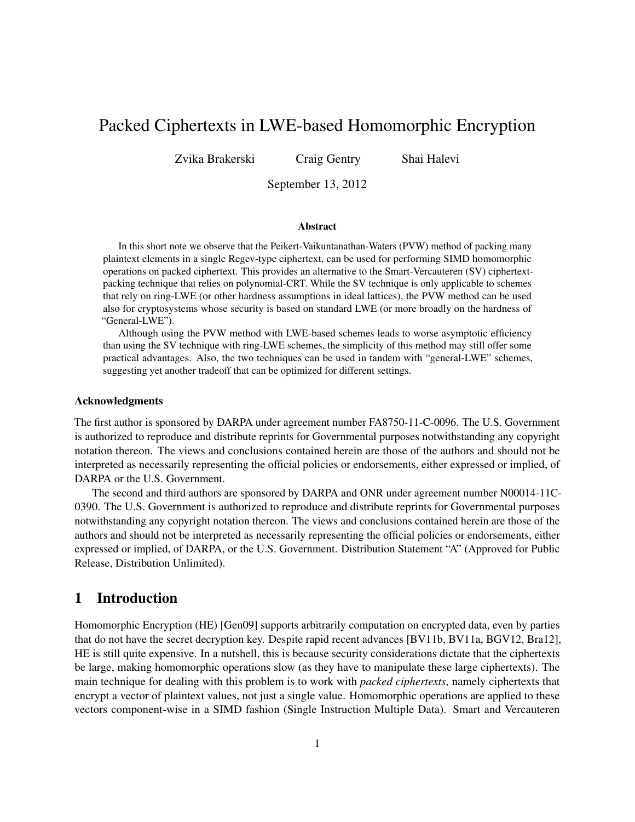# Packed Ciphertexts in LWE-based Homomorphic Encryption

Zvika Brakerski Craig Gentry Shai Halevi

September 13, 2012

#### Abstract

In this short note we observe that the Peikert-Vaikuntanathan-Waters (PVW) method of packing many plaintext elements in a single Regev-type ciphertext, can be used for performing SIMD homomorphic operations on packed ciphertext. This provides an alternative to the Smart-Vercauteren (SV) ciphertextpacking technique that relies on polynomial-CRT. While the SV technique is only applicable to schemes that rely on ring-LWE (or other hardness assumptions in ideal lattices), the PVW method can be used also for cryptosystems whose security is based on standard LWE (or more broadly on the hardness of "General-LWE").

Although using the PVW method with LWE-based schemes leads to worse asymptotic efficiency than using the SV technique with ring-LWE schemes, the simplicity of this method may still offer some practical advantages. Also, the two techniques can be used in tandem with "general-LWE" schemes, suggesting yet another tradeoff that can be optimized for different settings.

#### Acknowledgments

The first author is sponsored by DARPA under agreement number FA8750-11-C-0096. The U.S. Government is authorized to reproduce and distribute reprints for Governmental purposes notwithstanding any copyright notation thereon. The views and conclusions contained herein are those of the authors and should not be interpreted as necessarily representing the official policies or endorsements, either expressed or implied, of DARPA or the U.S. Government.

The second and third authors are sponsored by DARPA and ONR under agreement number N00014-11C-0390. The U.S. Government is authorized to reproduce and distribute reprints for Governmental purposes notwithstanding any copyright notation thereon. The views and conclusions contained herein are those of the authors and should not be interpreted as necessarily representing the official policies or endorsements, either expressed or implied, of DARPA, or the U.S. Government. Distribution Statement "A" (Approved for Public Release, Distribution Unlimited).

### 1 Introduction

Homomorphic Encryption (HE) [Gen09] supports arbitrarily computation on encrypted data, even by parties that do not have the secret decryption key. Despite rapid recent advances [BV11b, BV11a, BGV12, Bra12], HE is still quite expensive. In a nutshell, this is because security considerations dictate that the ciphertexts be large, making homomorphic operations slow (as they have to manipulate these large ciphertexts). The main technique for dealing with this problem is to work with *packed ciphertexts*, namely ciphertexts that encrypt a vector of plaintext values, not just a single value. Homomorphic operations are applied to these vectors component-wise in a SIMD fashion (Single Instruction Multiple Data). Smart and Vercauteren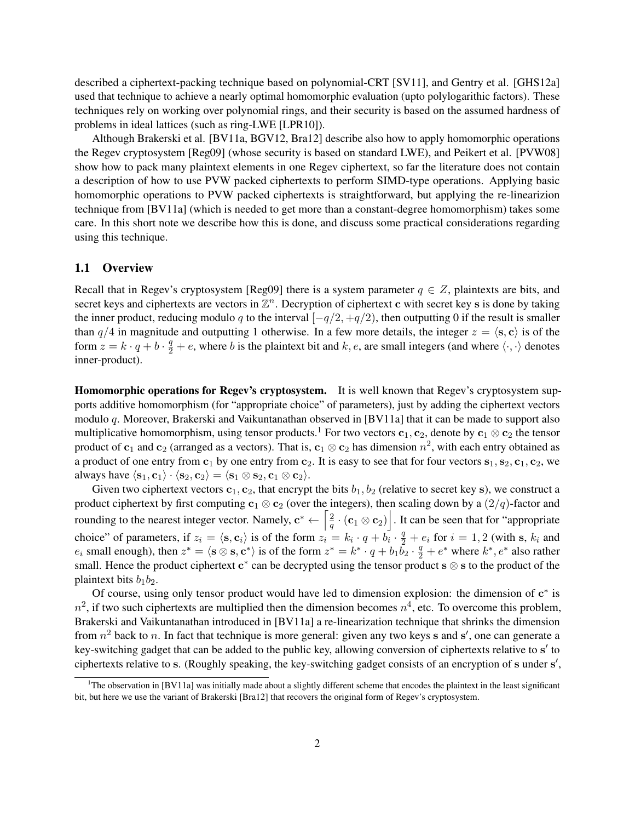described a ciphertext-packing technique based on polynomial-CRT [SV11], and Gentry et al. [GHS12a] used that technique to achieve a nearly optimal homomorphic evaluation (upto polylogarithic factors). These techniques rely on working over polynomial rings, and their security is based on the assumed hardness of problems in ideal lattices (such as ring-LWE [LPR10]).

Although Brakerski et al. [BV11a, BGV12, Bra12] describe also how to apply homomorphic operations the Regev cryptosystem [Reg09] (whose security is based on standard LWE), and Peikert et al. [PVW08] show how to pack many plaintext elements in one Regev ciphertext, so far the literature does not contain a description of how to use PVW packed ciphertexts to perform SIMD-type operations. Applying basic homomorphic operations to PVW packed ciphertexts is straightforward, but applying the re-linearizion technique from [BV11a] (which is needed to get more than a constant-degree homomorphism) takes some care. In this short note we describe how this is done, and discuss some practical considerations regarding using this technique.

### 1.1 Overview

Recall that in Regev's cryptosystem [Reg09] there is a system parameter  $q \in Z$ , plaintexts are bits, and secret keys and ciphertexts are vectors in  $\mathbb{Z}^n$ . Decryption of ciphertext c with secret key s is done by taking the inner product, reducing modulo q to the interval  $[-q/2, +q/2)$ , then outputting 0 if the result is smaller than  $q/4$  in magnitude and outputting 1 otherwise. In a few more details, the integer  $z = \langle s, c \rangle$  is of the form  $z = k \cdot q + b \cdot \frac{q}{2} + e$ , where b is the plaintext bit and k, e, are small integers (and where  $\langle \cdot, \cdot \rangle$  denotes inner-product).

Homomorphic operations for Regev's cryptosystem. It is well known that Regev's cryptosystem supports additive homomorphism (for "appropriate choice" of parameters), just by adding the ciphertext vectors modulo q. Moreover, Brakerski and Vaikuntanathan observed in [BV11a] that it can be made to support also multiplicative homomorphism, using tensor products.<sup>1</sup> For two vectors  $c_1, c_2$ , denote by  $c_1 \otimes c_2$  the tensor product of  $c_1$  and  $c_2$  (arranged as a vectors). That is,  $c_1 \otimes c_2$  has dimension  $n^2$ , with each entry obtained as a product of one entry from  $c_1$  by one entry from  $c_2$ . It is easy to see that for four vectors  $s_1, s_2, c_1, c_2$ , we always have  $\langle \mathbf{s}_1, \mathbf{c}_1 \rangle \cdot \langle \mathbf{s}_2, \mathbf{c}_2 \rangle = \langle \mathbf{s}_1 \otimes \mathbf{s}_2, \mathbf{c}_1 \otimes \mathbf{c}_2 \rangle$ .

Given two ciphertext vectors  $c_1, c_2$ , that encrypt the bits  $b_1, b_2$  (relative to secret key s), we construct a product ciphertext by first computing  $c_1 \otimes c_2$  (over the integers), then scaling down by a  $\left(\frac{2}{q}\right)$ -factor and rounding to the nearest integer vector. Namely,  $\mathbf{c}^* \leftarrow \begin{bmatrix} 2 \\ 7 \end{bmatrix}$  $\frac{2}{q} \cdot (\mathbf{c}_1 \otimes \mathbf{c}_2)$ . It can be seen that for "appropriate choice" of parameters, if  $z_i = \langle s, c_i \rangle$  is of the form  $z_i = k_i \cdot q + b_i \cdot \frac{q}{2} + e_i$  for  $i = 1, 2$  (with s,  $k_i$  and  $e_i$  small enough), then  $z^* = \langle s \otimes s, c^* \rangle$  is of the form  $z^* = k^* \cdot q + b_1 b_2 \cdot \frac{q}{2} + e^*$  where  $k^*, e^*$  also rather small. Hence the product ciphertext  $c^*$  can be decrypted using the tensor product s  $\otimes$  s to the product of the plaintext bits  $b_1b_2$ .

Of course, using only tensor product would have led to dimension explosion: the dimension of  $c^*$  is  $n^2$ , if two such ciphertexts are multiplied then the dimension becomes  $n^4$ , etc. To overcome this problem, Brakerski and Vaikuntanathan introduced in [BV11a] a re-linearization technique that shrinks the dimension from  $n^2$  back to n. In fact that technique is more general: given any two keys s and s', one can generate a key-switching gadget that can be added to the public key, allowing conversion of ciphertexts relative to s' to ciphertexts relative to s. (Roughly speaking, the key-switching gadget consists of an encryption of s under s',

<sup>&</sup>lt;sup>1</sup>The observation in [BV11a] was initially made about a slightly different scheme that encodes the plaintext in the least significant bit, but here we use the variant of Brakerski [Bra12] that recovers the original form of Regev's cryptosystem.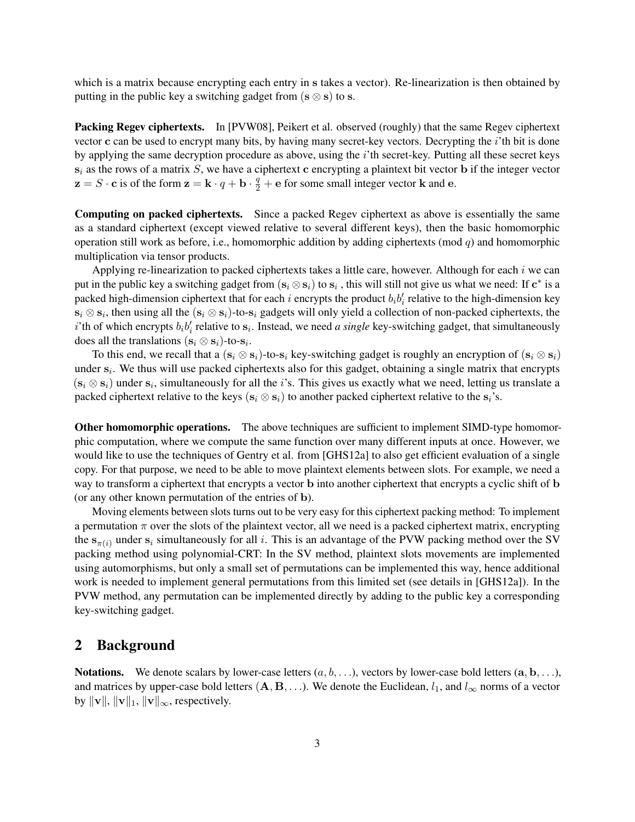which is a matrix because encrypting each entry in s takes a vector). Re-linearization is then obtained by putting in the public key a switching gadget from  $(s \otimes s)$  to s.

Packing Regev ciphertexts. In [PVW08], Peikert et al. observed (roughly) that the same Regev ciphertext vector c can be used to encrypt many bits, by having many secret-key vectors. Decrypting the i'th bit is done by applying the same decryption procedure as above, using the i'th secret-key. Putting all these secret keys  $s_i$  as the rows of a matrix S, we have a ciphertext c encrypting a plaintext bit vector b if the integer vector  $z = S \cdot c$  is of the form  $z = k \cdot q + b \cdot \frac{q}{2} + e$  for some small integer vector k and e.

Computing on packed ciphertexts. Since a packed Regev ciphertext as above is essentially the same as a standard ciphertext (except viewed relative to several different keys), then the basic homomorphic operation still work as before, i.e., homomorphic addition by adding ciphertexts (mod  $q$ ) and homomorphic multiplication via tensor products.

Applying re-linearization to packed ciphertexts takes a little care, however. Although for each  $i$  we can put in the public key a switching gadget from  $(s_i \otimes s_i)$  to  $s_i$ , this will still not give us what we need: If  $c^*$  is a packed high-dimension ciphertext that for each i encrypts the product  $b_i b'_i$  relative to the high-dimension key  $\mathbf{s}_i\otimes\mathbf{s}_i$ , then using all the  $(\mathbf{s}_i\otimes\mathbf{s}_i)$ -to- $\mathbf{s}_i$  gadgets will only yield a collection of non-packed ciphertexts, the i'th of which encrypts  $b_i b'_i$  relative to  $s_i$ . Instead, we need *a single* key-switching gadget, that simultaneously does all the translations  $(\mathbf{s}_i \otimes \mathbf{s}_i)$ -to- $\mathbf{s}_i$ .

To this end, we recall that a  $(s_i \otimes s_i)$ -to-s<sub>i</sub> key-switching gadget is roughly an encryption of  $(s_i \otimes s_i)$ under  $s_i$ . We thus will use packed ciphertexts also for this gadget, obtaining a single matrix that encrypts  $(s_i \otimes s_i)$  under  $s_i$ , simultaneously for all the *i*'s. This gives us exactly what we need, letting us translate a packed ciphertext relative to the keys ( $s_i \otimes s_i$ ) to another packed ciphertext relative to the  $s_i$ 's.

Other homomorphic operations. The above techniques are sufficient to implement SIMD-type homomorphic computation, where we compute the same function over many different inputs at once. However, we would like to use the techniques of Gentry et al. from [GHS12a] to also get efficient evaluation of a single copy. For that purpose, we need to be able to move plaintext elements between slots. For example, we need a way to transform a ciphertext that encrypts a vector b into another ciphertext that encrypts a cyclic shift of b (or any other known permutation of the entries of b).

Moving elements between slots turns out to be very easy for this ciphertext packing method: To implement a permutation  $\pi$  over the slots of the plaintext vector, all we need is a packed ciphertext matrix, encrypting the  $s_{\pi(i)}$  under  $s_i$  simultaneously for all i. This is an advantage of the PVW packing method over the SV packing method using polynomial-CRT: In the SV method, plaintext slots movements are implemented using automorphisms, but only a small set of permutations can be implemented this way, hence additional work is needed to implement general permutations from this limited set (see details in [GHS12a]). In the PVW method, any permutation can be implemented directly by adding to the public key a corresponding key-switching gadget.

### 2 Background

**Notations.** We denote scalars by lower-case letters  $(a, b, \ldots)$ , vectors by lower-case bold letters  $(a, b, \ldots)$ , and matrices by upper-case bold letters  $(A, B, \ldots)$ . We denote the Euclidean,  $l_1$ , and  $l_\infty$  norms of a vector by  $\|\mathbf{v}\|$ ,  $\|\mathbf{v}\|_1$ ,  $\|\mathbf{v}\|_{\infty}$ , respectively.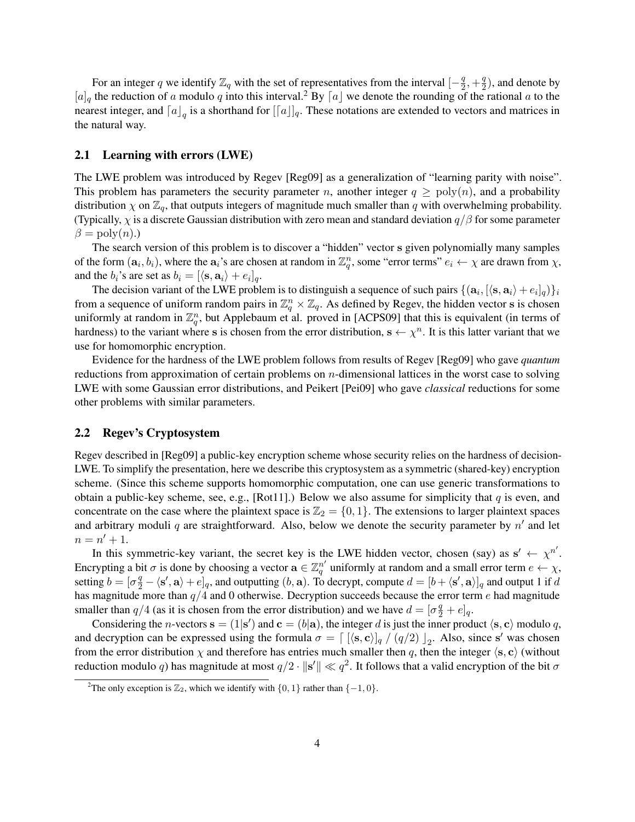For an integer q we identify  $\mathbb{Z}_q$  with the set of representatives from the interval  $\left[-\frac{q}{2}\right]$  $\frac{q}{2}, +\frac{q}{2}$  $\frac{q}{2}$ ), and denote by  $[a]_q$  the reduction of a modulo q into this interval.<sup>2</sup> By  $[a]$  we denote the rounding of the rational a to the nearest integer, and  $[a]_q$  is a shorthand for  $[[a]]_q$ . These notations are extended to vectors and matrices in the natural way.

#### 2.1 Learning with errors (LWE)

The LWE problem was introduced by Regev [Reg09] as a generalization of "learning parity with noise". This problem has parameters the security parameter n, another integer  $q \geq \text{poly}(n)$ , and a probability distribution  $\chi$  on  $\mathbb{Z}_q$ , that outputs integers of magnitude much smaller than q with overwhelming probability. (Typically,  $\chi$  is a discrete Gaussian distribution with zero mean and standard deviation  $q/\beta$  for some parameter  $\beta = \text{poly}(n)$ .)

The search version of this problem is to discover a "hidden" vector s given polynomially many samples of the form  $(a_i, b_i)$ , where the  $a_i$ 's are chosen at random in  $\mathbb{Z}_q^n$ , some "error terms"  $e_i \leftarrow \chi$  are drawn from  $\chi$ , and the  $b_i$ 's are set as  $b_i = [\langle \mathbf{s}, \mathbf{a}_i \rangle + e_i]_q$ .

The decision variant of the LWE problem is to distinguish a sequence of such pairs  $\{(\mathbf{a}_i, [\langle \mathbf{s}, \mathbf{a}_i \rangle + e_i]_q)\}_i$ from a sequence of uniform random pairs in  $\mathbb{Z}_q^n \times \mathbb{Z}_q$ . As defined by Regev, the hidden vector s is chosen uniformly at random in  $\mathbb{Z}_q^n$ , but Applebaum et al. proved in [ACPS09] that this is equivalent (in terms of hardness) to the variant where s is chosen from the error distribution,  $s \leftarrow \chi^n$ . It is this latter variant that we use for homomorphic encryption.

Evidence for the hardness of the LWE problem follows from results of Regev [Reg09] who gave *quantum* reductions from approximation of certain problems on n-dimensional lattices in the worst case to solving LWE with some Gaussian error distributions, and Peikert [Pei09] who gave *classical* reductions for some other problems with similar parameters.

#### 2.2 Regev's Cryptosystem

Regev described in [Reg09] a public-key encryption scheme whose security relies on the hardness of decision-LWE. To simplify the presentation, here we describe this cryptosystem as a symmetric (shared-key) encryption scheme. (Since this scheme supports homomorphic computation, one can use generic transformations to obtain a public-key scheme, see, e.g., [Rot11].) Below we also assume for simplicity that q is even, and concentrate on the case where the plaintext space is  $\mathbb{Z}_2 = \{0, 1\}$ . The extensions to larger plaintext spaces and arbitrary moduli q are straightforward. Also, below we denote the security parameter by  $n'$  and let  $n = n' + 1.$ 

In this symmetric-key variant, the secret key is the LWE hidden vector, chosen (say) as  $s' \leftarrow \chi^{n'}$ . Encrypting a bit  $\sigma$  is done by choosing a vector  $\mathbf{a} \in \mathbb{Z}_q^{n'}$  uniformly at random and a small error term  $e \leftarrow \chi$ , setting  $b = [\sigma \frac{q}{2} - \langle \mathbf{s}', \mathbf{a} \rangle + e]_q$ , and outputting  $(b, \mathbf{a})$ . To decrypt, compute  $d = [b + \langle \mathbf{s}', \mathbf{a} \rangle]_q$  and output 1 if d has magnitude more than  $q/4$  and 0 otherwise. Decryption succeeds because the error term  $e$  had magnitude smaller than  $q/4$  (as it is chosen from the error distribution) and we have  $d = [\sigma \frac{q}{2} + e]_q$ .

Considering the *n*-vectors  $\mathbf{s} = (1|\mathbf{s}')$  and  $\mathbf{c} = (b|\mathbf{a})$ , the integer d is just the inner product  $\langle \mathbf{s}, \mathbf{c} \rangle$  modulo q, and decryption can be expressed using the formula  $\sigma = \int [\langle s, c \rangle]_q / (q/2) \int_2$ . Also, since s' was chosen from the error distribution  $\chi$  and therefore has entries much smaller then q, then the integer  $\langle s, c \rangle$  (without reduction modulo q) has magnitude at most  $q/2 \cdot ||s'|| \ll q^2$ . It follows that a valid encryption of the bit  $\sigma$ 

<sup>&</sup>lt;sup>2</sup>The only exception is  $\mathbb{Z}_2$ , which we identify with  $\{0, 1\}$  rather than  $\{-1, 0\}$ .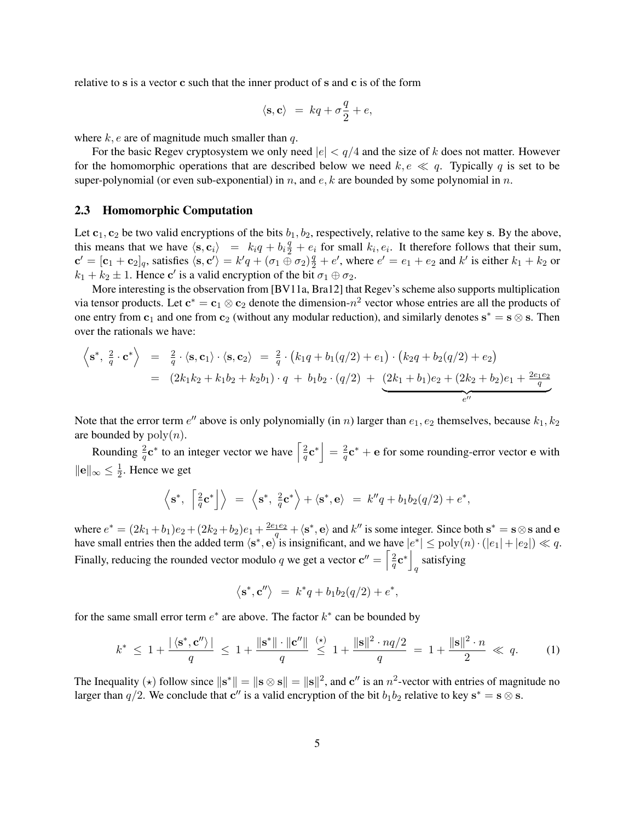relative to s is a vector c such that the inner product of s and c is of the form

$$
\langle \mathbf{s}, \mathbf{c} \rangle = kq + \sigma \frac{q}{2} + e,
$$

where  $k, e$  are of magnitude much smaller than q.

For the basic Regev cryptosystem we only need  $|e| < q/4$  and the size of k does not matter. However for the homomorphic operations that are described below we need  $k, e \ll q$ . Typically q is set to be super-polynomial (or even sub-exponential) in n, and e, k are bounded by some polynomial in n.

#### 2.3 Homomorphic Computation

Let  $c_1, c_2$  be two valid encryptions of the bits  $b_1, b_2$ , respectively, relative to the same key s. By the above, this means that we have  $\langle s, c_i \rangle = k_i q + b_i \frac{q}{2} + e_i$  for small  $k_i, e_i$ . It therefore follows that their sum,  $\mathbf{c}' = [\mathbf{c}_1 + \mathbf{c}_2]_q$ , satisfies  $\langle \mathbf{s}, \mathbf{c}' \rangle = k'q + (\sigma_1 \oplus \sigma_2)\frac{q}{2} + e'$ , where  $e' = e_1 + e_2$  and  $k'$  is either  $k_1 + k_2$  or  $k_1 + k_2 \pm 1$ . Hence c' is a valid encryption of the bit  $\sigma_1 \oplus \sigma_2$ .

More interesting is the observation from [BV11a, Bra12] that Regev's scheme also supports multiplication via tensor products. Let  $c^* = c_1 \otimes c_2$  denote the dimension- $n^2$  vector whose entries are all the products of one entry from  $c_1$  and one from  $c_2$  (without any modular reduction), and similarly denotes  $s^* = s \otimes s$ . Then over the rationals we have:

$$
\begin{array}{rcl}\n\left\langle \mathbf{s}^{*}, \frac{2}{q} \cdot \mathbf{c}^{*} \right\rangle & = & \frac{2}{q} \cdot \left\langle \mathbf{s}, \mathbf{c}_{1} \right\rangle \cdot \left\langle \mathbf{s}, \mathbf{c}_{2} \right\rangle \\
& = & \frac{2}{q} \cdot \left( k_{1} q + b_{1} (q/2) + e_{1} \right) \cdot \left( k_{2} q + b_{2} (q/2) + e_{2} \right) \\
& = & \left( 2k_{1} k_{2} + k_{1} b_{2} + k_{2} b_{1} \right) \cdot q + b_{1} b_{2} \cdot \left( q/2 \right) + \underbrace{\left( 2k_{1} + b_{1} \right) e_{2} + \left( 2k_{2} + b_{2} \right) e_{1} + \frac{2e_{1} e_{2}}{q}}_{e^{\prime \prime}}\n\end{array}
$$

Note that the error term  $e''$  above is only polynomially (in *n*) larger than  $e_1, e_2$  themselves, because  $k_1, k_2$ are bounded by  $poly(n)$ .

Rounding  $\frac{2}{q}e^*$  to an integer vector we have  $\left[\frac{2}{q}\right]$  $\frac{2}{q}{\bf c}^*\Big|=\frac{2}{q}$  $\frac{2}{q}$ **c**<sup>\*</sup> + **e** for some rounding-error vector **e** with  $\|\mathbf{e}\|_{\infty} \leq \frac{1}{2}$  $\frac{1}{2}$ . Hence we get

$$
\langle \mathbf{s}^*, \left| \frac{2}{q} \mathbf{c}^* \right| \rangle = \langle \mathbf{s}^*, \frac{2}{q} \mathbf{c}^* \rangle + \langle \mathbf{s}^*, \mathbf{e} \rangle = k''q + b_1b_2(q/2) + e^*,
$$

where  $e^* = (2k_1 + b_1)e_2 + (2k_2 + b_2)e_1 + \frac{2e_1e_2}{q} + \langle s^*, \mathbf{e} \rangle$  and  $k''$  is some integer. Since both  $s^* = s \otimes s$  and  $\mathbf{e}$ have small entries then the added term  $\langle s^*, e \rangle^2$  is insignificant, and we have  $|e^*| \leq \text{poly}(n) \cdot (|e_1| + |e_2|) \ll q$ . Finally, reducing the rounded vector modulo q we get a vector  $\mathbf{c}'' = \begin{bmatrix} \frac{2}{a} \\ \frac{2}{b} \end{bmatrix}$  $\frac{2}{q} \mathbf{c}^*$ q satisfying

$$
\langle \mathbf{s}^*, \mathbf{c}'' \rangle = k^*q + b_1b_2(q/2) + e^*,
$$

for the same small error term  $e^*$  are above. The factor  $k^*$  can be bounded by

$$
k^* \le 1 + \frac{|\langle \mathbf{s}^*, \mathbf{c}'' \rangle|}{q} \le 1 + \frac{\|\mathbf{s}^*\| \cdot \|\mathbf{c}''\|}{q} \stackrel{(*)}{\le} 1 + \frac{\|\mathbf{s}\|^2 \cdot nq/2}{q} = 1 + \frac{\|\mathbf{s}\|^2 \cdot n}{2} \ll q. \tag{1}
$$

The Inequality ( $\star$ ) follow since  $\|\mathbf{s}^*\| = \|\mathbf{s} \otimes \mathbf{s}\| = \|\mathbf{s}\|^2$ , and  $\mathbf{c}''$  is an  $n^2$ -vector with entries of magnitude no larger than  $q/2$ . We conclude that  $\mathbf{c}''$  is a valid encryption of the bit  $b_1b_2$  relative to key  $\mathbf{s}^* = \mathbf{s} \otimes \mathbf{s}$ .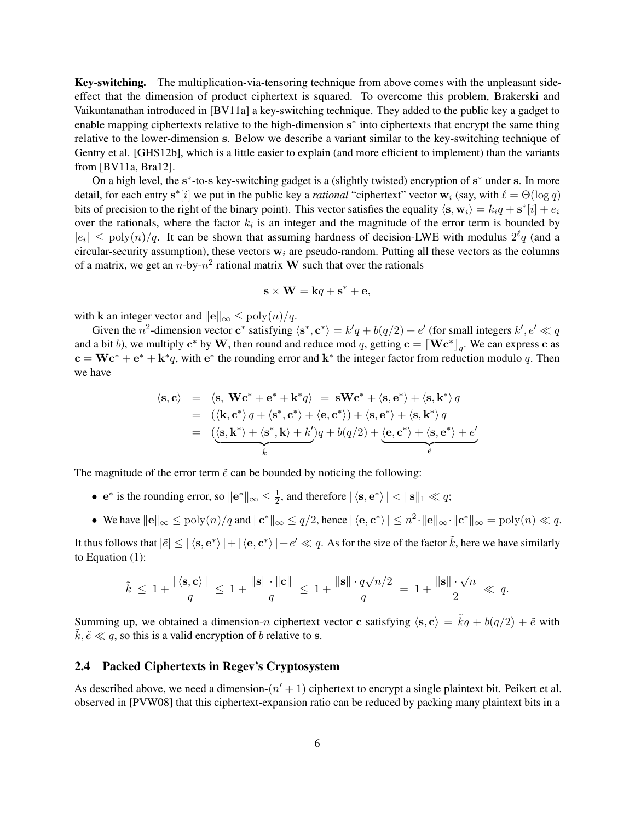Key-switching. The multiplication-via-tensoring technique from above comes with the unpleasant sideeffect that the dimension of product ciphertext is squared. To overcome this problem, Brakerski and Vaikuntanathan introduced in [BV11a] a key-switching technique. They added to the public key a gadget to enable mapping ciphertexts relative to the high-dimension s<sup>\*</sup> into ciphertexts that encrypt the same thing relative to the lower-dimension s. Below we describe a variant similar to the key-switching technique of Gentry et al. [GHS12b], which is a little easier to explain (and more efficient to implement) than the variants from [BV11a, Bra12].

On a high level, the s<sup>\*</sup>-to-s key-switching gadget is a (slightly twisted) encryption of s<sup>\*</sup> under s. In more detail, for each entry  $s^*[i]$  we put in the public key a *rational* "ciphertext" vector  $w_i$  (say, with  $\ell = \Theta(\log q)$ bits of precision to the right of the binary point). This vector satisfies the equality  $\langle s, w_i \rangle = k_i q + s^* [i] + e_i$ over the rationals, where the factor  $k_i$  is an integer and the magnitude of the error term is bounded by  $|e_i| \leq \text{poly}(n)/q$ . It can be shown that assuming hardness of decision-LWE with modulus  $2^{\ell}q$  (and a circular-security assumption), these vectors  $w_i$  are pseudo-random. Putting all these vectors as the columns of a matrix, we get an *n*-by- $n^2$  rational matrix **W** such that over the rationals

$$
\mathbf{s} \times \mathbf{W} = \mathbf{k}q + \mathbf{s}^* + \mathbf{e},
$$

with **k** an integer vector and  $||\mathbf{e}||_{\infty} \le \text{poly}(n)/q$ .

Given the n<sup>2</sup>-dimension vector  $\mathbf{c}^*$  satisfying  $\langle \mathbf{s}^*, \mathbf{c}^* \rangle = k'q + b(q/2) + e'$  (for small integers  $k', e' \ll q$ and a bit *b*), we multiply  $c^*$  by W, then round and reduce mod q, getting  $c = \left[\mathbf{W}c^*\right]_q$ . We can express c as  $\mathbf{c} = \mathbf{W} \mathbf{c}^* + \mathbf{e}^* + \mathbf{k}^* q$ , with  $\mathbf{e}^*$  the rounding error and  $\mathbf{k}^*$  the integer factor from reduction modulo q. Then we have

$$
\langle \mathbf{s}, \mathbf{c} \rangle = \langle \mathbf{s}, \mathbf{W} \mathbf{c}^* + \mathbf{e}^* + \mathbf{k}^* q \rangle = \mathbf{s} \mathbf{W} \mathbf{c}^* + \langle \mathbf{s}, \mathbf{e}^* \rangle + \langle \mathbf{s}, \mathbf{k}^* \rangle q
$$
  
\n
$$
= (\langle \mathbf{k}, \mathbf{c}^* \rangle q + \langle \mathbf{s}^*, \mathbf{c}^* \rangle + \langle \mathbf{e}, \mathbf{c}^* \rangle) + \langle \mathbf{s}, \mathbf{e}^* \rangle + \langle \mathbf{s}, \mathbf{k}^* \rangle q
$$
  
\n
$$
= (\langle \mathbf{s}, \mathbf{k}^* \rangle + \langle \mathbf{s}^*, \mathbf{k} \rangle + k') q + b(q/2) + \langle \mathbf{e}, \mathbf{c}^* \rangle + \langle \mathbf{s}, \mathbf{e}^* \rangle + e'
$$
  
\n $\overline{\epsilon}$ 

The magnitude of the error term  $\tilde{e}$  can be bounded by noticing the following:

- $e^*$  is the rounding error, so  $||e^*||_{\infty} \le \frac{1}{2}$  $\frac{1}{2}$ , and therefore  $|\langle \mathbf{s}, \mathbf{e}^* \rangle| < ||\mathbf{s}||_1 \ll q;$
- We have  $\|\mathbf{e}\|_{\infty} \le \text{poly}(n)/q$  and  $\|\mathbf{c}^*\|_{\infty} \le q/2$ , hence  $|\langle \mathbf{e}, \mathbf{c}^* \rangle| \le n^2 \cdot \|\mathbf{e}\|_{\infty} \cdot \|\mathbf{c}^*\|_{\infty} = \text{poly}(n) \ll q$ .

It thus follows that  $|\tilde{e}| \leq |\langle \mathbf{s}, \mathbf{e}^* \rangle| + |\langle \mathbf{e}, \mathbf{c}^* \rangle| + e' \ll q$ . As for the size of the factor  $\tilde{k}$ , here we have similarly to Equation (1):

$$
\tilde{k} \leq 1 + \frac{|\langle \mathbf{s}, \mathbf{c} \rangle|}{q} \leq 1 + \frac{\|\mathbf{s}\| \cdot \|\mathbf{c}\|}{q} \leq 1 + \frac{\|\mathbf{s}\| \cdot q\sqrt{n}/2}{q} = 1 + \frac{\|\mathbf{s}\| \cdot \sqrt{n}}{2} \ll q.
$$

Summing up, we obtained a dimension-n ciphertext vector c satisfying  $\langle s, c \rangle = \tilde{k}q + b(q/2) + \tilde{e}$  with  $\tilde{k}, \tilde{e} \ll q$ , so this is a valid encryption of b relative to s.

#### 2.4 Packed Ciphertexts in Regev's Cryptosystem

As described above, we need a dimension- $(n' + 1)$  ciphertext to encrypt a single plaintext bit. Peikert et al. observed in [PVW08] that this ciphertext-expansion ratio can be reduced by packing many plaintext bits in a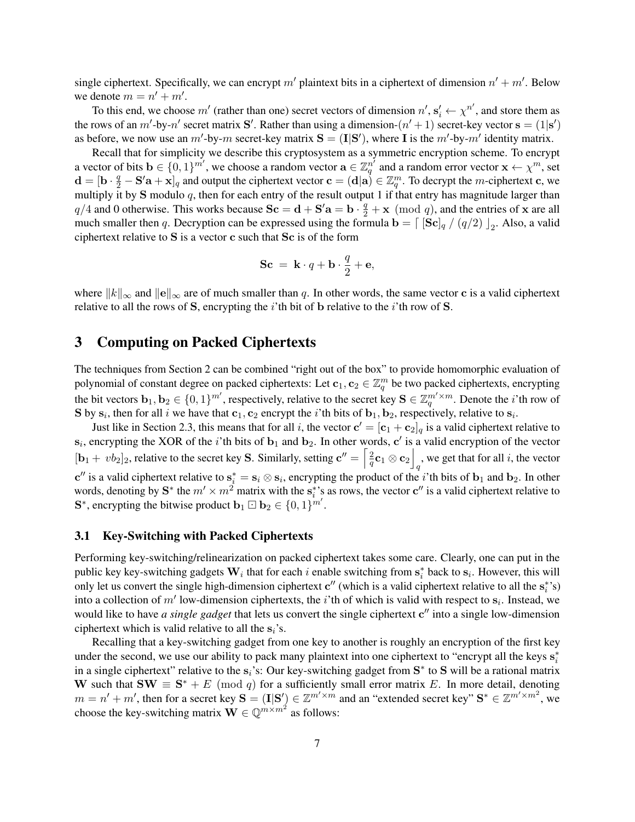single ciphertext. Specifically, we can encrypt  $m'$  plaintext bits in a ciphertext of dimension  $n' + m'$ . Below we denote  $m = n' + m'$ .

To this end, we choose  $m'$  (rather than one) secret vectors of dimension  $n'$ ,  $s'_i \leftarrow \chi^{n'}$ , and store them as the rows of an m'-by-n' secret matrix S'. Rather than using a dimension- $(n'+1)$  secret-key vector  $s = (1|s')$ as before, we now use an m'-by-m secret-key matrix  $S = (I|S')$ , where I is the m'-by-m' identity matrix.

Recall that for simplicity we describe this cryptosystem as a symmetric encryption scheme. To encrypt a vector of bits  $\mathbf{b} \in \{0,1\}^{m'}$ , we choose a random vector  $\mathbf{a} \in \mathbb{Z}_q^{n'}$  and a random error vector  $\mathbf{x} \leftarrow \chi^m$ , set  $\mathbf{d} = [\mathbf{b} \cdot \frac{q}{2} - \mathbf{S}'\mathbf{a} + \mathbf{x}]_q$  and output the ciphertext vector  $\mathbf{c} = (\mathbf{d} | \mathbf{a}) \in \mathbb{Z}_q^m$ . To decrypt the m-ciphertext c, we multiply it by S modulo  $q$ , then for each entry of the result output 1 if that entry has magnitude larger than  $q/4$  and 0 otherwise. This works because  $\mathbf{Sc} = \mathbf{d} + \mathbf{S}'\mathbf{a} = \mathbf{b} \cdot \frac{q}{2} + \mathbf{x} \pmod{q}$ , and the entries of x are all much smaller then q. Decryption can be expressed using the formula  $\mathbf{b} = \lfloor \left[ \mathbf{Sc} \right]_q / (q/2) \rfloor_2$ . Also, a valid ciphertext relative to S is a vector c such that Sc is of the form

$$
\mathbf{Sc} = \mathbf{k} \cdot q + \mathbf{b} \cdot \frac{q}{2} + \mathbf{e},
$$

where  $||k||_{\infty}$  and  $||e||_{\infty}$  are of much smaller than q. In other words, the same vector c is a valid ciphertext relative to all the rows of S, encrypting the *i*'th bit of b relative to the *i*'th row of S.

## 3 Computing on Packed Ciphertexts

The techniques from Section 2 can be combined "right out of the box" to provide homomorphic evaluation of polynomial of constant degree on packed ciphertexts: Let  $c_1, c_2 \in \mathbb{Z}_q^m$  be two packed ciphertexts, encrypting the bit vectors  $\mathbf{b}_1, \mathbf{b}_2 \in \{0,1\}^{m'}$ , respectively, relative to the secret key  $\mathbf{S} \in \mathbb{Z}_q^{m' \times m}$ . Denote the *i*'th row of S by  $s_i$ , then for all i we have that  $c_1$ ,  $c_2$  encrypt the i'th bits of  $b_1$ ,  $b_2$ , respectively, relative to  $s_i$ .

Just like in Section 2.3, this means that for all i, the vector  $\mathbf{c}' = [\mathbf{c}_1 + \mathbf{c}_2]_q$  is a valid ciphertext relative to  $s_i$ , encrypting the XOR of the *i*'th bits of  $b_1$  and  $b_2$ . In other words, c' is a valid encryption of the vector  $[b_1 + v_{2}]_2$ , relative to the secret key S. Similarly, setting  $\mathbf{c}'' = \begin{bmatrix} \frac{2}{a} \end{bmatrix}$  $\frac{2}{q} \mathbf{c}_1 \otimes \mathbf{c}_2 \Big\vert_{}$ , we get that for all  $i$ , the vector c'' is a valid ciphertext relative to  $s_i^* = s_i \otimes s_i$ , encrypting the product of the *i*'th bits of  $b_1$  and  $b_2$ . In other words, denoting by  $S^*$  the  $m' \times m^2$  matrix with the  $s_i^*$ 's as rows, the vector  $c''$  is a valid ciphertext relative to **S**<sup>\*</sup>, encrypting the bitwise product  $\mathbf{b}_1 \boxdot \mathbf{b}_2 \in \{0,1\}^{m'}$ .

#### 3.1 Key-Switching with Packed Ciphertexts

Performing key-switching/relinearization on packed ciphertext takes some care. Clearly, one can put in the public key key-switching gadgets  $W_i$  that for each i enable switching from  $s_i^*$  back to  $s_i$ . However, this will only let us convert the single high-dimension ciphertext  $c''$  (which is a valid ciphertext relative to all the  $s_i^*$ 's) into a collection of  $m'$  low-dimension ciphertexts, the *i*'th of which is valid with respect to  $s_i$ . Instead, we would like to have *a single gadget* that lets us convert the single ciphertext c" into a single low-dimension ciphertext which is valid relative to all the  $s_i$ 's.

Recalling that a key-switching gadget from one key to another is roughly an encryption of the first key under the second, we use our ability to pack many plaintext into one ciphertext to "encrypt all the keys  $s_i^*$ in a single ciphertext" relative to the  $s_i$ 's: Our key-switching gadget from  $S^*$  to  $S$  will be a rational matrix W such that  $SW \equiv S^* + E \pmod{q}$  for a sufficiently small error matrix E. In more detail, denoting  $m = n' + m'$ , then for a secret key  $S = (I|S') \in \mathbb{Z}^{m' \times m}$  and an "extended secret key"  $S^* \in \mathbb{Z}^{m' \times m^2}$ , we choose the key-switching matrix  $\mathbf{W} \in \mathbb{Q}^{m \times m^2}$  as follows: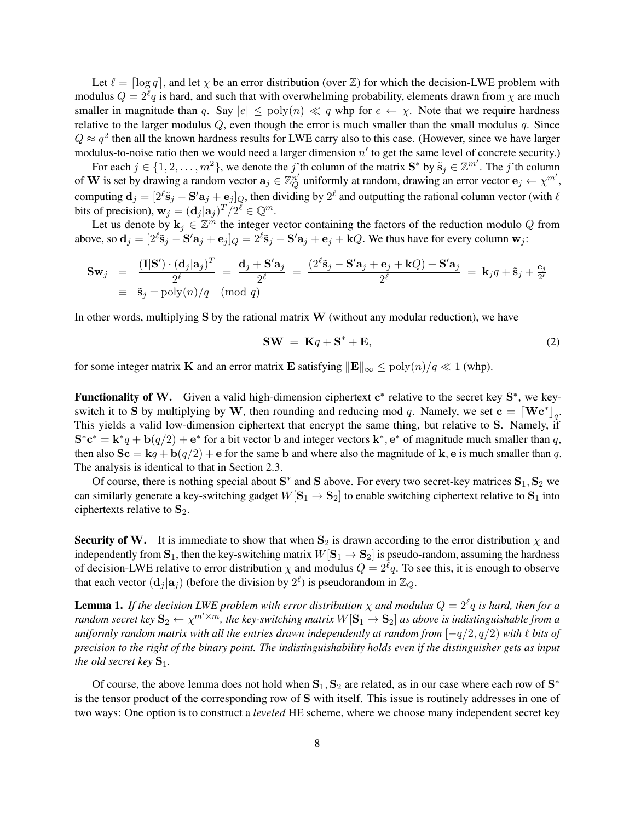Let  $\ell = \lceil \log q \rceil$ , and let  $\chi$  be an error distribution (over Z) for which the decision-LWE problem with modulus  $Q = 2^{\ell}q$  is hard, and such that with overwhelming probability, elements drawn from  $\chi$  are much smaller in magnitude than q. Say  $|e| \leq \text{poly}(n) \ll q$  whp for  $e \leftarrow \chi$ . Note that we require hardness relative to the larger modulus  $Q$ , even though the error is much smaller than the small modulus  $q$ . Since  $Q \approx q^2$  then all the known hardness results for LWE carry also to this case. (However, since we have larger modulus-to-noise ratio then we would need a larger dimension  $n'$  to get the same level of concrete security.)

For each  $j \in \{1, 2, ..., m^2\}$ , we denote the j'th column of the matrix  $S^*$  by  $\tilde{s}_j \in \mathbb{Z}^{m'}$ . The j'th column of W is set by drawing a random vector  $a_j \in \mathbb{Z}_Q^{n'}$  uniformly at random, drawing an error vector  $e_j \leftarrow \chi^{m'}$ , computing  $d_j = [2^{\ell} \tilde{s}_j - S' a_j + e_j]_Q$ , then dividing by  $2^{\ell}$  and outputting the rational column vector (with  $\ell$ bits of precision),  $\mathbf{w}_j = (\mathbf{d}_j | \mathbf{a}_j)^T / 2^{\ell} \in \mathbb{Q}^m$ .

Let us denote by  $\mathbf{k}_j \in \mathbb{Z}^m$  the integer vector containing the factors of the reduction modulo Q from above, so  $\mathbf{d}_j = [2^{\ell} \tilde{\mathbf{s}}_j - \mathbf{S}'\mathbf{a}_j + \mathbf{e}_j]_Q = 2^{\ell} \tilde{\mathbf{s}}_j - \mathbf{S}'\mathbf{a}_j + \mathbf{e}_j + \mathbf{k} Q$ . We thus have for every column  $\mathbf{w}_j$ :

$$
\begin{array}{rcl}\n\mathbf{Sw}_j & = & \frac{(\mathbf{I}|\mathbf{S}') \cdot (\mathbf{d}_j|\mathbf{a}_j)^T}{2^\ell} = \frac{\mathbf{d}_j + \mathbf{S}'\mathbf{a}_j}{2^\ell} = \frac{(2^\ell \tilde{\mathbf{s}}_j - \mathbf{S}'\mathbf{a}_j + \mathbf{e}_j + \mathbf{k}Q) + \mathbf{S}'\mathbf{a}_j}{2^\ell} = \mathbf{k}_j q + \tilde{\mathbf{s}}_j + \frac{\mathbf{e}_j}{2^\ell} \\
& \equiv & \tilde{\mathbf{s}}_j \pm \text{poly}(n)/q \pmod{q}\n\end{array}
$$

In other words, multiplying  $S$  by the rational matrix  $W$  (without any modular reduction), we have

$$
SW = Kq + S^* + E,
$$
\n(2)

for some integer matrix K and an error matrix E satisfying  $\|\mathbf{E}\|_{\infty} \le \text{poly}(n)/q \ll 1$  (whp).

Functionality of W. Given a valid high-dimension ciphertext  $c^*$  relative to the secret key  $S^*$ , we keyswitch it to S by multiplying by W, then rounding and reducing mod q. Namely, we set  $\mathbf{c} = [\mathbf{W} \mathbf{c}^*]_q$ . This yields a valid low-dimension ciphertext that encrypt the same thing, but relative to S. Namely, if  $\mathbf{S}^*\mathbf{c}^* = \mathbf{k}^*q + \mathbf{b}(q/2) + \mathbf{e}^*$  for a bit vector b and integer vectors  $\mathbf{k}^*, \mathbf{e}^*$  of magnitude much smaller than q, then also  $Sc = kq + b(q/2) + e$  for the same b and where also the magnitude of k, e is much smaller than q. The analysis is identical to that in Section 2.3.

Of course, there is nothing special about  $S^*$  and S above. For every two secret-key matrices  $S_1, S_2$  we can similarly generate a key-switching gadget  $W[\mathbf{S}_1 \to \mathbf{S}_2]$  to enable switching ciphertext relative to  $\mathbf{S}_1$  into ciphertexts relative to  $S_2$ .

**Security of W.** It is immediate to show that when  $S_2$  is drawn according to the error distribution  $\chi$  and independently from  $S_1$ , then the key-switching matrix  $W[S_1 \rightarrow S_2]$  is pseudo-random, assuming the hardness of decision-LWE relative to error distribution  $\chi$  and modulus  $Q = 2^{\ell}q$ . To see this, it is enough to observe that each vector  $(\mathbf{d}_j | \mathbf{a}_j)$  (before the division by  $2^{\ell}$ ) is pseudorandom in  $\mathbb{Z}_Q$ .

**Lemma 1.** If the decision LWE problem with error distribution  $\chi$  and modulus  $Q = 2^\ell q$  is hard, then for a  $r$ andom secret key  $S_2 \leftarrow \chi^{m' \times m}$ , the key-switching matrix  $W[S_1 \to S_2]$  as above is indistinguishable from a *uniformly random matrix with all the entries drawn independently at random from*  $[-q/2, q/2)$  *with*  $\ell$  *bits of precision to the right of the binary point. The indistinguishability holds even if the distinguisher gets as input the old secret key*  $S_1$ *.* 

Of course, the above lemma does not hold when  $S_1, S_2$  are related, as in our case where each row of  $S^*$ is the tensor product of the corresponding row of S with itself. This issue is routinely addresses in one of two ways: One option is to construct a *leveled* HE scheme, where we choose many independent secret key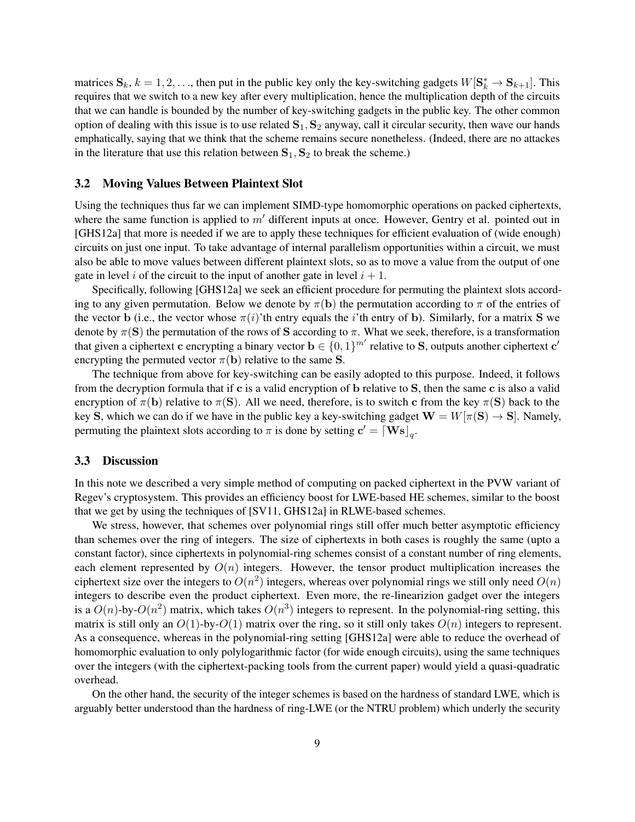matrices  $S_k$ ,  $k = 1, 2, \ldots$ , then put in the public key only the key-switching gadgets  $W[S_k^* \to S_{k+1}]$ . This requires that we switch to a new key after every multiplication, hence the multiplication depth of the circuits that we can handle is bounded by the number of key-switching gadgets in the public key. The other common option of dealing with this issue is to use related  $S_1, S_2$  anyway, call it circular security, then wave our hands emphatically, saying that we think that the scheme remains secure nonetheless. (Indeed, there are no attackes in the literature that use this relation between  $S_1, S_2$  to break the scheme.)

#### 3.2 Moving Values Between Plaintext Slot

Using the techniques thus far we can implement SIMD-type homomorphic operations on packed ciphertexts, where the same function is applied to  $m'$  different inputs at once. However, Gentry et al. pointed out in [GHS12a] that more is needed if we are to apply these techniques for efficient evaluation of (wide enough) circuits on just one input. To take advantage of internal parallelism opportunities within a circuit, we must also be able to move values between different plaintext slots, so as to move a value from the output of one gate in level i of the circuit to the input of another gate in level  $i + 1$ .

Specifically, following [GHS12a] we seek an efficient procedure for permuting the plaintext slots according to any given permutation. Below we denote by  $\pi(\mathbf{b})$  the permutation according to  $\pi$  of the entries of the vector b (i.e., the vector whose  $\pi(i)$ 'th entry equals the *i*'th entry of b). Similarly, for a matrix **S** we denote by  $\pi(S)$  the permutation of the rows of S according to  $\pi$ . What we seek, therefore, is a transformation that given a ciphertext c encrypting a binary vector  $\mathbf{b} \in \{0,1\}^{m'}$  relative to S, outputs another ciphertext c' encrypting the permuted vector  $\pi(\mathbf{b})$  relative to the same S.

The technique from above for key-switching can be easily adopted to this purpose. Indeed, it follows from the decryption formula that if  $c$  is a valid encryption of  $b$  relative to  $S$ , then the same  $c$  is also a valid encryption of  $\pi(\mathbf{b})$  relative to  $\pi(\mathbf{S})$ . All we need, therefore, is to switch c from the key  $\pi(\mathbf{S})$  back to the key S, which we can do if we have in the public key a key-switching gadget  $W = W[\pi(S) \to S]$ . Namely, permuting the plaintext slots according to  $\pi$  is done by setting  $\mathbf{c}' = \left[\mathbf{W}\mathbf{s}\right]_q$ .

### 3.3 Discussion

In this note we described a very simple method of computing on packed ciphertext in the PVW variant of Regev's cryptosystem. This provides an efficiency boost for LWE-based HE schemes, similar to the boost that we get by using the techniques of [SV11, GHS12a] in RLWE-based schemes.

We stress, however, that schemes over polynomial rings still offer much better asymptotic efficiency than schemes over the ring of integers. The size of ciphertexts in both cases is roughly the same (upto a constant factor), since ciphertexts in polynomial-ring schemes consist of a constant number of ring elements, each element represented by  $O(n)$  integers. However, the tensor product multiplication increases the ciphertext size over the integers to  $O(n^2)$  integers, whereas over polynomial rings we still only need  $O(n)$ integers to describe even the product ciphertext. Even more, the re-linearizion gadget over the integers is a  $O(n)$ -by- $O(n^2)$  matrix, which takes  $O(n^3)$  integers to represent. In the polynomial-ring setting, this matrix is still only an  $O(1)$ -by- $O(1)$  matrix over the ring, so it still only takes  $O(n)$  integers to represent. As a consequence, whereas in the polynomial-ring setting [GHS12a] were able to reduce the overhead of homomorphic evaluation to only polylogarithmic factor (for wide enough circuits), using the same techniques over the integers (with the ciphertext-packing tools from the current paper) would yield a quasi-quadratic overhead.

On the other hand, the security of the integer schemes is based on the hardness of standard LWE, which is arguably better understood than the hardness of ring-LWE (or the NTRU problem) which underly the security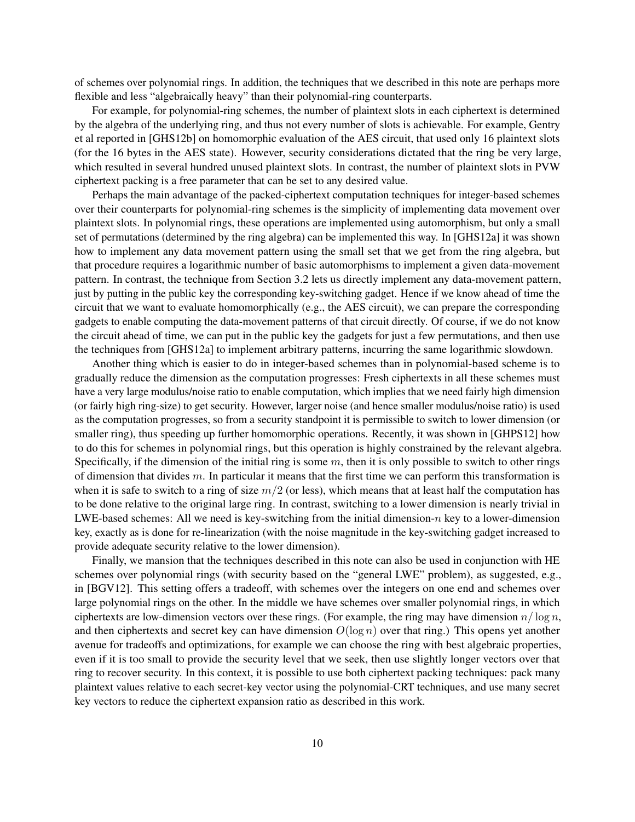of schemes over polynomial rings. In addition, the techniques that we described in this note are perhaps more flexible and less "algebraically heavy" than their polynomial-ring counterparts.

For example, for polynomial-ring schemes, the number of plaintext slots in each ciphertext is determined by the algebra of the underlying ring, and thus not every number of slots is achievable. For example, Gentry et al reported in [GHS12b] on homomorphic evaluation of the AES circuit, that used only 16 plaintext slots (for the 16 bytes in the AES state). However, security considerations dictated that the ring be very large, which resulted in several hundred unused plaintext slots. In contrast, the number of plaintext slots in PVW ciphertext packing is a free parameter that can be set to any desired value.

Perhaps the main advantage of the packed-ciphertext computation techniques for integer-based schemes over their counterparts for polynomial-ring schemes is the simplicity of implementing data movement over plaintext slots. In polynomial rings, these operations are implemented using automorphism, but only a small set of permutations (determined by the ring algebra) can be implemented this way. In [GHS12a] it was shown how to implement any data movement pattern using the small set that we get from the ring algebra, but that procedure requires a logarithmic number of basic automorphisms to implement a given data-movement pattern. In contrast, the technique from Section 3.2 lets us directly implement any data-movement pattern, just by putting in the public key the corresponding key-switching gadget. Hence if we know ahead of time the circuit that we want to evaluate homomorphically (e.g., the AES circuit), we can prepare the corresponding gadgets to enable computing the data-movement patterns of that circuit directly. Of course, if we do not know the circuit ahead of time, we can put in the public key the gadgets for just a few permutations, and then use the techniques from [GHS12a] to implement arbitrary patterns, incurring the same logarithmic slowdown.

Another thing which is easier to do in integer-based schemes than in polynomial-based scheme is to gradually reduce the dimension as the computation progresses: Fresh ciphertexts in all these schemes must have a very large modulus/noise ratio to enable computation, which implies that we need fairly high dimension (or fairly high ring-size) to get security. However, larger noise (and hence smaller modulus/noise ratio) is used as the computation progresses, so from a security standpoint it is permissible to switch to lower dimension (or smaller ring), thus speeding up further homomorphic operations. Recently, it was shown in [GHPS12] how to do this for schemes in polynomial rings, but this operation is highly constrained by the relevant algebra. Specifically, if the dimension of the initial ring is some  $m$ , then it is only possible to switch to other rings of dimension that divides  $m$ . In particular it means that the first time we can perform this transformation is when it is safe to switch to a ring of size  $m/2$  (or less), which means that at least half the computation has to be done relative to the original large ring. In contrast, switching to a lower dimension is nearly trivial in LWE-based schemes: All we need is key-switching from the initial dimension- $n$  key to a lower-dimension key, exactly as is done for re-linearization (with the noise magnitude in the key-switching gadget increased to provide adequate security relative to the lower dimension).

Finally, we mansion that the techniques described in this note can also be used in conjunction with HE schemes over polynomial rings (with security based on the "general LWE" problem), as suggested, e.g., in [BGV12]. This setting offers a tradeoff, with schemes over the integers on one end and schemes over large polynomial rings on the other. In the middle we have schemes over smaller polynomial rings, in which ciphertexts are low-dimension vectors over these rings. (For example, the ring may have dimension  $n/\log n$ , and then ciphertexts and secret key can have dimension  $O(\log n)$  over that ring.) This opens yet another avenue for tradeoffs and optimizations, for example we can choose the ring with best algebraic properties, even if it is too small to provide the security level that we seek, then use slightly longer vectors over that ring to recover security. In this context, it is possible to use both ciphertext packing techniques: pack many plaintext values relative to each secret-key vector using the polynomial-CRT techniques, and use many secret key vectors to reduce the ciphertext expansion ratio as described in this work.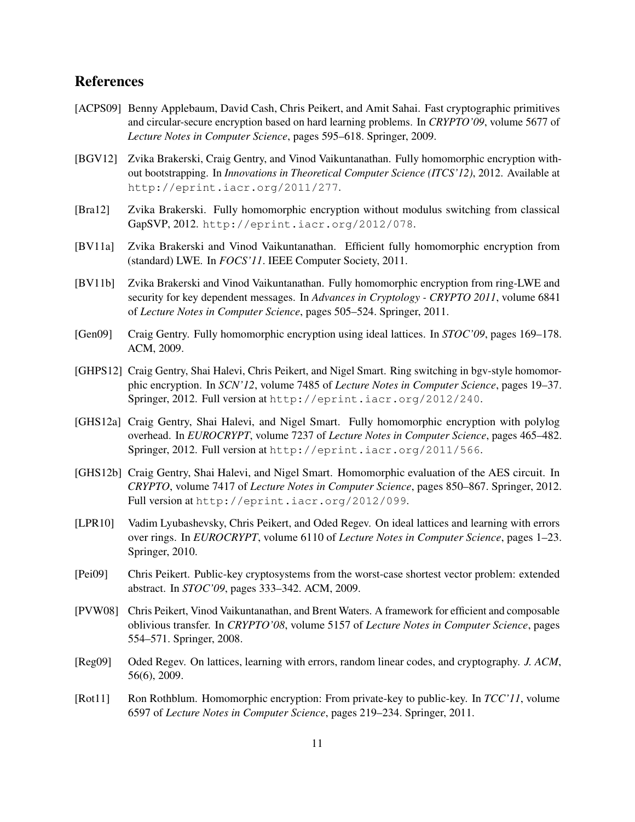# References

- [ACPS09] Benny Applebaum, David Cash, Chris Peikert, and Amit Sahai. Fast cryptographic primitives and circular-secure encryption based on hard learning problems. In *CRYPTO'09*, volume 5677 of *Lecture Notes in Computer Science*, pages 595–618. Springer, 2009.
- [BGV12] Zvika Brakerski, Craig Gentry, and Vinod Vaikuntanathan. Fully homomorphic encryption without bootstrapping. In *Innovations in Theoretical Computer Science (ITCS'12)*, 2012. Available at http://eprint.iacr.org/2011/277.
- [Bra12] Zvika Brakerski. Fully homomorphic encryption without modulus switching from classical GapSVP, 2012. http://eprint.iacr.org/2012/078.
- [BV11a] Zvika Brakerski and Vinod Vaikuntanathan. Efficient fully homomorphic encryption from (standard) LWE. In *FOCS'11*. IEEE Computer Society, 2011.
- [BV11b] Zvika Brakerski and Vinod Vaikuntanathan. Fully homomorphic encryption from ring-LWE and security for key dependent messages. In *Advances in Cryptology - CRYPTO 2011*, volume 6841 of *Lecture Notes in Computer Science*, pages 505–524. Springer, 2011.
- [Gen09] Craig Gentry. Fully homomorphic encryption using ideal lattices. In *STOC'09*, pages 169–178. ACM, 2009.
- [GHPS12] Craig Gentry, Shai Halevi, Chris Peikert, and Nigel Smart. Ring switching in bgv-style homomorphic encryption. In *SCN'12*, volume 7485 of *Lecture Notes in Computer Science*, pages 19–37. Springer, 2012. Full version at http://eprint.iacr.org/2012/240.
- [GHS12a] Craig Gentry, Shai Halevi, and Nigel Smart. Fully homomorphic encryption with polylog overhead. In *EUROCRYPT*, volume 7237 of *Lecture Notes in Computer Science*, pages 465–482. Springer, 2012. Full version at http://eprint.iacr.org/2011/566.
- [GHS12b] Craig Gentry, Shai Halevi, and Nigel Smart. Homomorphic evaluation of the AES circuit. In *CRYPTO*, volume 7417 of *Lecture Notes in Computer Science*, pages 850–867. Springer, 2012. Full version at http://eprint.iacr.org/2012/099.
- [LPR10] Vadim Lyubashevsky, Chris Peikert, and Oded Regev. On ideal lattices and learning with errors over rings. In *EUROCRYPT*, volume 6110 of *Lecture Notes in Computer Science*, pages 1–23. Springer, 2010.
- [Pei09] Chris Peikert. Public-key cryptosystems from the worst-case shortest vector problem: extended abstract. In *STOC'09*, pages 333–342. ACM, 2009.
- [PVW08] Chris Peikert, Vinod Vaikuntanathan, and Brent Waters. A framework for efficient and composable oblivious transfer. In *CRYPTO'08*, volume 5157 of *Lecture Notes in Computer Science*, pages 554–571. Springer, 2008.
- [Reg09] Oded Regev. On lattices, learning with errors, random linear codes, and cryptography. *J. ACM*, 56(6), 2009.
- [Rot11] Ron Rothblum. Homomorphic encryption: From private-key to public-key. In *TCC'11*, volume 6597 of *Lecture Notes in Computer Science*, pages 219–234. Springer, 2011.